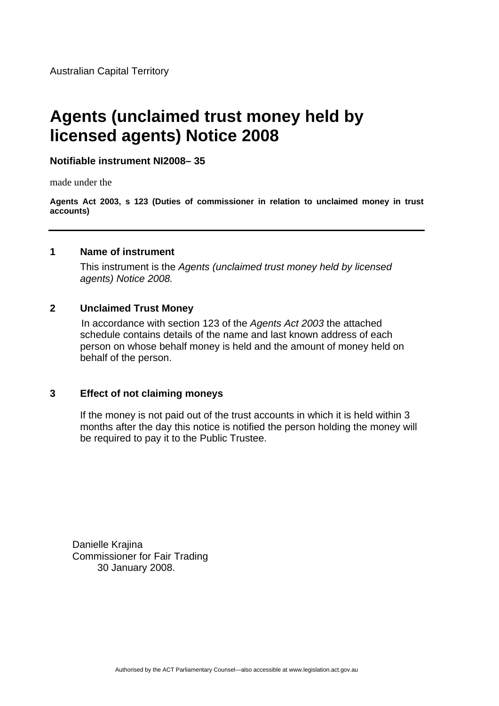# **Agents (unclaimed trust money held by licensed agents) Notice 2008**

**Notifiable instrument NI2008– 35**

made under the

**Agents Act 2003, s 123 (Duties of commissioner in relation to unclaimed money in trust accounts)**

## **1 Name of instrument**

This instrument is the *Agents (unclaimed trust money held by licensed agents) Notice 2008.* 

## **2 Unclaimed Trust Money**

In accordance with section 123 of the *Agents Act 2003* the attached schedule contains details of the name and last known address of each person on whose behalf money is held and the amount of money held on behalf of the person.

#### **3 Effect of not claiming moneys**

If the money is not paid out of the trust accounts in which it is held within 3 months after the day this notice is notified the person holding the money will be required to pay it to the Public Trustee.

 Danielle Krajina Commissioner for Fair Trading 30 January 2008.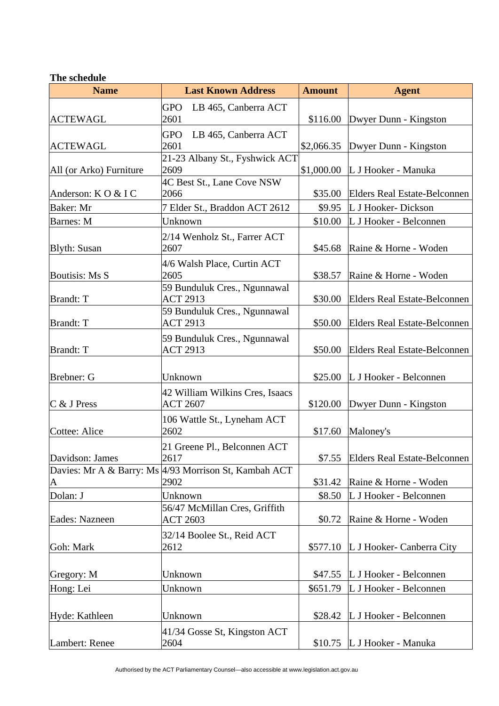#### **The schedule**

| <b>Name</b>             | <b>Last Known Address</b>                             | <b>Amount</b> | <b>Agent</b>                        |
|-------------------------|-------------------------------------------------------|---------------|-------------------------------------|
|                         | <b>GPO</b><br>LB 465, Canberra ACT                    |               |                                     |
| <b>ACTEWAGL</b>         | 2601                                                  | \$116.00      | Dwyer Dunn - Kingston               |
|                         | <b>GPO</b><br>LB 465, Canberra ACT                    |               |                                     |
| <b>ACTEWAGL</b>         | 2601                                                  | \$2,066.35    | Dwyer Dunn - Kingston               |
|                         | 21-23 Albany St., Fyshwick ACT<br>2609                |               |                                     |
| All (or Arko) Furniture | 4C Best St., Lane Cove NSW                            | \$1,000.00    | L J Hooker - Manuka                 |
| Anderson: KO & IC       | 2066                                                  | \$35.00       | <b>Elders Real Estate-Belconnen</b> |
| Baker: Mr               | 7 Elder St., Braddon ACT 2612                         | \$9.95        | L J Hooker- Dickson                 |
| <b>Barnes</b> : M       | Unknown                                               | \$10.00       | L J Hooker - Belconnen              |
|                         | 2/14 Wenholz St., Farrer ACT                          |               |                                     |
| <b>Blyth: Susan</b>     | 2607                                                  | \$45.68       | Raine & Horne - Woden               |
|                         | 4/6 Walsh Place, Curtin ACT                           |               |                                     |
| <b>Boutisis: Ms S</b>   | 2605                                                  | \$38.57       | Raine & Horne - Woden               |
|                         | 59 Bunduluk Cres., Ngunnawal                          |               |                                     |
| <b>Brandt: T</b>        | <b>ACT 2913</b>                                       | \$30.00       | <b>Elders Real Estate-Belconnen</b> |
|                         | 59 Bunduluk Cres., Ngunnawal                          |               |                                     |
| <b>Brandt: T</b>        | <b>ACT 2913</b>                                       | \$50.00       | <b>Elders Real Estate-Belconnen</b> |
| <b>Brandt: T</b>        | 59 Bunduluk Cres., Ngunnawal<br><b>ACT 2913</b>       | \$50.00       | <b>Elders Real Estate-Belconnen</b> |
|                         |                                                       |               |                                     |
| Brebner: G              | Unknown                                               | \$25.00       | L J Hooker - Belconnen              |
|                         | 42 William Wilkins Cres, Isaacs                       |               |                                     |
| $C$ & J Press           | <b>ACT 2607</b>                                       | \$120.00      | Dwyer Dunn - Kingston               |
|                         | 106 Wattle St., Lyneham ACT                           |               |                                     |
| Cottee: Alice           | 2602                                                  | \$17.60       | Maloney's                           |
|                         | 21 Greene Pl., Belconnen ACT                          |               |                                     |
| Davidson: James         | 2617                                                  |               | \$7.55 Elders Real Estate-Belconnen |
|                         | Davies: Mr A & Barry: Ms 4/93 Morrison St, Kambah ACT |               |                                     |
| A                       | 2902                                                  | \$31.42       | Raine & Horne - Woden               |
| Dolan: J                | Unknown                                               | \$8.50        | L J Hooker - Belconnen              |
|                         | 56/47 McMillan Cres, Griffith                         |               |                                     |
| Eades: Nazneen          | <b>ACT 2603</b>                                       | \$0.72        | Raine & Horne - Woden               |
| Goh: Mark               | 32/14 Boolee St., Reid ACT                            |               |                                     |
|                         | 2612                                                  | \$577.10      | L J Hooker- Canberra City           |
| Gregory: M              | Unknown                                               |               | \$47.55 L J Hooker - Belconnen      |
| Hong: Lei               | Unknown                                               | \$651.79      | L J Hooker - Belconnen              |
|                         |                                                       |               |                                     |
| Hyde: Kathleen          | Unknown                                               | \$28.42       | L J Hooker - Belconnen              |
|                         | 41/34 Gosse St, Kingston ACT                          |               |                                     |
| Lambert: Renee          | 2604                                                  | \$10.75       | L J Hooker - Manuka                 |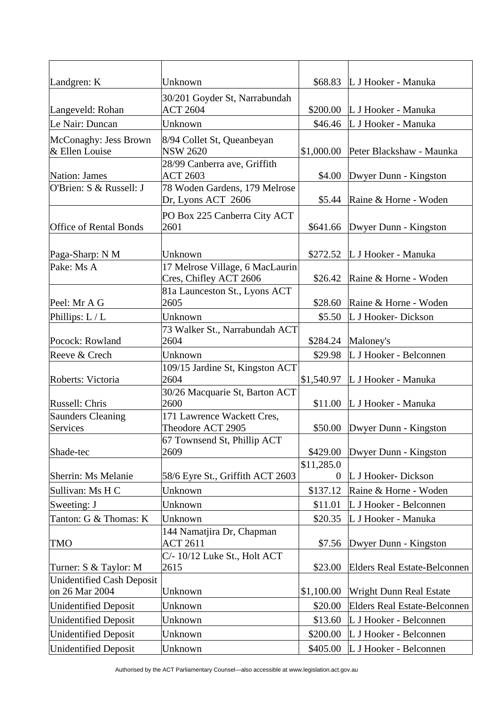| Landgren: K                                 | Unknown                                                   |                        | \$68.83 L J Hooker - Manuka         |
|---------------------------------------------|-----------------------------------------------------------|------------------------|-------------------------------------|
| Langeveld: Rohan                            | 30/201 Goyder St, Narrabundah<br><b>ACT 2604</b>          |                        | \$200.00 L J Hooker - Manuka        |
| Le Nair: Duncan                             | Unknown                                                   | \$46.46                | L J Hooker - Manuka                 |
| McConaghy: Jess Brown<br>& Ellen Louise     | 8/94 Collet St, Queanbeyan<br><b>NSW 2620</b>             | \$1,000.00             | Peter Blackshaw - Maunka            |
| <b>Nation: James</b>                        | 28/99 Canberra ave, Griffith<br><b>ACT 2603</b>           | \$4.00                 | Dwyer Dunn - Kingston               |
| O'Brien: S & Russell: J                     | 78 Woden Gardens, 179 Melrose<br>Dr, Lyons ACT 2606       | \$5.44                 | Raine & Horne - Woden               |
| <b>Office of Rental Bonds</b>               | PO Box 225 Canberra City ACT<br>2601                      | \$641.66               | Dwyer Dunn - Kingston               |
| Paga-Sharp: N M                             | Unknown                                                   |                        | \$272.52 L J Hooker - Manuka        |
| Pake: Ms A                                  | 17 Melrose Village, 6 MacLaurin<br>Cres, Chifley ACT 2606 | \$26.42                | Raine & Horne - Woden               |
| Peel: Mr A G                                | 81a Launceston St., Lyons ACT<br>2605                     | \$28.60                | Raine & Horne - Woden               |
| Phillips: $L/L$                             | Unknown                                                   | \$5.50                 | L J Hooker- Dickson                 |
| Pocock: Rowland                             | 73 Walker St., Narrabundah ACT<br>2604                    | \$284.24               | Maloney's                           |
| Reeve & Crech                               | Unknown                                                   | \$29.98                | L J Hooker - Belconnen              |
| Roberts: Victoria                           | 109/15 Jardine St, Kingston ACT<br>2604                   | \$1,540.97             | L J Hooker - Manuka                 |
| Russell: Chris                              | 30/26 Macquarie St, Barton ACT<br>2600                    | \$11.00                | L J Hooker - Manuka                 |
| <b>Saunders Cleaning</b><br>Services        | 171 Lawrence Wackett Cres,<br>Theodore ACT 2905           | \$50.00                | Dwyer Dunn - Kingston               |
| Shade-tec                                   | 67 Townsend St, Phillip ACT<br>2609                       | \$429.00               | Dwyer Dunn - Kingston               |
| Sherrin: Ms Melanie                         | 58/6 Eyre St., Griffith ACT 2603                          | \$11,285.0<br>$\theta$ | L J Hooker- Dickson                 |
| Sullivan: Ms H C                            | Unknown                                                   | \$137.12               | Raine & Horne - Woden               |
| Sweeting: J                                 | Unknown                                                   | \$11.01                | L J Hooker - Belconnen              |
| Tanton: G & Thomas: K                       | Unknown                                                   | \$20.35                | L J Hooker - Manuka                 |
| <b>TMO</b>                                  | 144 Namatjira Dr, Chapman<br><b>ACT 2611</b>              | \$7.56                 | Dwyer Dunn - Kingston               |
| Turner: S & Taylor: M                       | C/- 10/12 Luke St., Holt ACT<br>2615                      | \$23.00                | Elders Real Estate-Belconnen        |
| Unidentified Cash Deposit<br>on 26 Mar 2004 | Unknown                                                   | \$1,100.00             | <b>Wright Dunn Real Estate</b>      |
| <b>Unidentified Deposit</b>                 | Unknown                                                   | \$20.00                | <b>Elders Real Estate-Belconnen</b> |
| <b>Unidentified Deposit</b>                 | Unknown                                                   | \$13.60                | L J Hooker - Belconnen              |
| <b>Unidentified Deposit</b>                 | Unknown                                                   | \$200.00               | L J Hooker - Belconnen              |
| <b>Unidentified Deposit</b>                 | Unknown                                                   | \$405.00               | L J Hooker - Belconnen              |